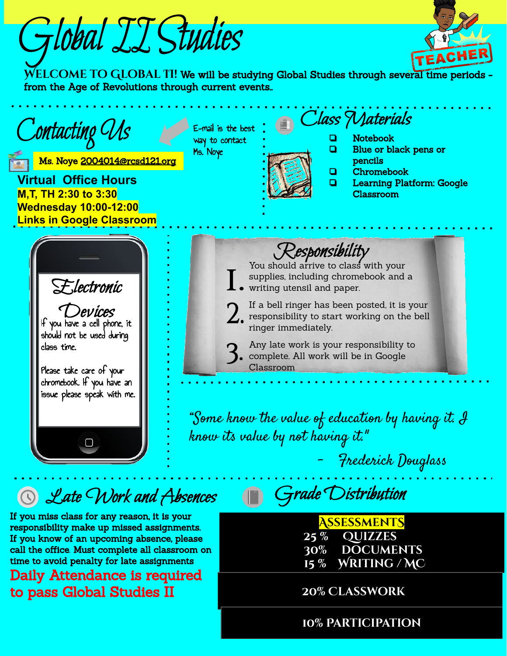Global II Studies



WELCOME TO GLOBAL 11! We will be studying Global Studies through several time periods from the Age of Revolutions through current events..



# **Q** Late Work and Absences

If you miss class for any reason, it is your responsibility make up missed assignments. If you know of an upcoming absence, please call the office. Must complete all classroom on time to avoid penalty for late assignments

Daily Attendance is required to pass Global Studies II

Grade Distribution

**AssessmentS 25 % Quizzes 30% documents 15 % Writing / MC** 

 **20% Classwork**

**10% Participation**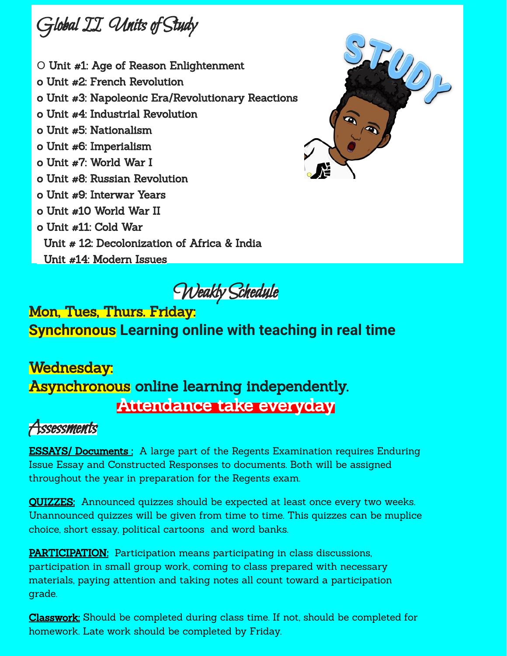

- O Unit #1: Age of Reason Enlightenment
- o Unit #2: French Revolution
- o Unit #3: Napoleonic Era/Revolutionary Reactions
- o Unit #4: Industrial Revolution
- o Unit #5: Nationalism
- o Unit #6: Imperialism
- o Unit #7: World War I
- o Unit #8: Russian Revolution
- o Unit #9: Interwar Years
- o Unit #10 World War II
- o Unit #11: Cold War
	- Unit # 12: Decolonization of Africa & India
	- Unit #14: Modern Issues

500

Weakly Schedule

#### Mon, Tues, Thurs. Friday: **Synchronous Learning online with teaching in real time**

### Wednesday: Asynchronous online learning independently. Attendance take everyday

# Assessments

**ESSAYS/ Documents**: A large part of the Regents Examination requires Enduring Issue Essay and Constructed Responses to documents. Both will be assigned throughout the year in preparation for the Regents exam.

**QUIZZES:** Announced quizzes should be expected at least once every two weeks. Unannounced quizzes will be given from time to time. This quizzes can be muplice choice, short essay, political cartoons and word banks.

**PARTICIPATION:** Participation means participating in class discussions, participation in small group work, coming to class prepared with necessary materials, paying attention and taking notes all count toward a participation grade.

Classwork: Should be completed during class time. If not, should be completed for homework. Late work should be completed by Friday.